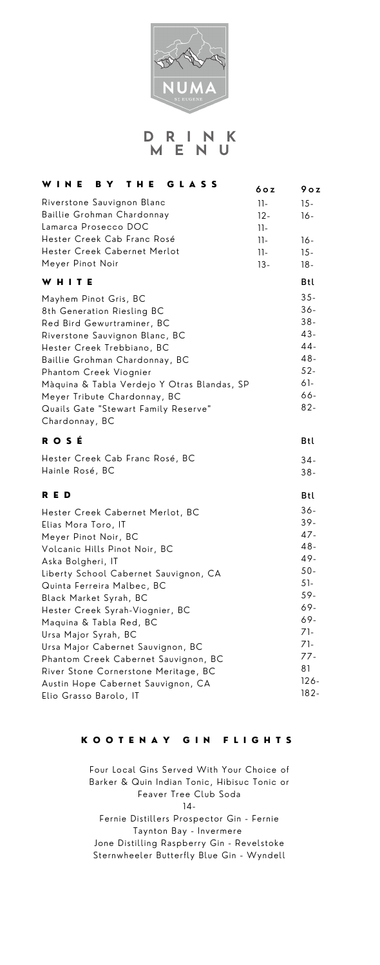

#### INK D  $\mathbb{R}$ M E N U

| WINE<br>THE<br>GLASS<br>B Y                                                                                                                                                                                                                                                                                                                                                                                                                                                             | 6 o z                    | 9 o z                                                                                                               |
|-----------------------------------------------------------------------------------------------------------------------------------------------------------------------------------------------------------------------------------------------------------------------------------------------------------------------------------------------------------------------------------------------------------------------------------------------------------------------------------------|--------------------------|---------------------------------------------------------------------------------------------------------------------|
| Riverstone Sauvignon Blanc<br>Baillie Grohman Chardonnay<br>Lamarca Prosecco DOC                                                                                                                                                                                                                                                                                                                                                                                                        | $11-$<br>$12 -$<br>$11-$ | $15 -$<br>16-                                                                                                       |
| Hester Creek Cab Franc Rosé<br>Hester Creek Cabernet Merlot<br>Meyer Pinot Noir                                                                                                                                                                                                                                                                                                                                                                                                         | $11-$<br>$11-$<br>$13 -$ | 16-<br>$15 -$<br>18-                                                                                                |
| WHITE                                                                                                                                                                                                                                                                                                                                                                                                                                                                                   |                          | Btl                                                                                                                 |
| Mayhem Pinot Gris, BC<br>8th Generation Riesling BC<br>Red Bird Gewurtraminer, BC<br>Riverstone Sauvignon Blanc, BC<br>Hester Creek Trebbiano, BC<br>Baillie Grohman Chardonnay, BC<br>Phantom Creek Viognier<br>Màquina & Tabla Verdejo Y Otras Blandas, SP<br>Meyer Tribute Chardonnay, BC<br>Quails Gate "Stewart Family Reserve"<br>Chardonnay, BC                                                                                                                                  |                          | $35 -$<br>$36 -$<br>$38 -$<br>$43 -$<br>44-<br>$48 -$<br>$52 -$<br>61-<br>66-<br>$82 -$                             |
| ROSÉ                                                                                                                                                                                                                                                                                                                                                                                                                                                                                    |                          | Btl                                                                                                                 |
| Hester Creek Cab Franc Rosé, BC<br>Hainle Rosé, BC                                                                                                                                                                                                                                                                                                                                                                                                                                      |                          | $34-$<br>$38 -$                                                                                                     |
| RED                                                                                                                                                                                                                                                                                                                                                                                                                                                                                     |                          | Btl                                                                                                                 |
| Hester Creek Cabernet Merlot, BC<br>Elias Mora Toro, IT<br>Meyer Pinot Noir, BC<br>Volcanic Hills Pinot Noir, BC<br>Aska Bolgheri, IT<br>Liberty School Cabernet Sauvignon, CA<br>Quinta Ferreira Malbec, BC<br>Black Market Syrah, BC<br>Hester Creek Syrah-Viognier, BC<br>Maquina & Tabla Red, BC<br>Ursa Major Syrah, BC<br>Ursa Major Cabernet Sauvignon, BC<br>Phantom Creek Cabernet Sauvignon, BC<br>River Stone Cornerstone Meritage, BC<br>Austin Hope Cabernet Sauvignon, CA |                          | $36 -$<br>$39 -$<br>47-<br>$48-$<br>49-<br>$50 -$<br>$51 -$<br>59-<br>69-<br>69-<br>71-<br>71-<br>77-<br>81<br>126- |
| Elio Grasso Barolo, IT                                                                                                                                                                                                                                                                                                                                                                                                                                                                  |                          | $182 -$                                                                                                             |

# KOOTENAY GIN FLIGHTS

Four Local Gins Served With Your Choice of Barker & Quin Indian Tonic, Hibisuc Tonic or Feaver Tree Club Soda  $14 -$ Fernie Distillers Prospector Gin - Fernie Taynton Bay - Invermere Jone Distilling Raspberry Gin - Revelstoke Sternwheeler Butterfly Blue Gin - Wyndell